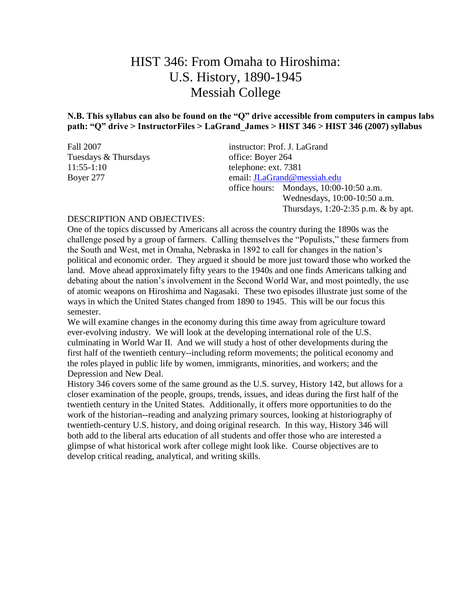# HIST 346: From Omaha to Hiroshima: U.S. History, 1890-1945 Messiah College

**N.B. This syllabus can also be found on the "Q" drive accessible from computers in campus labs path: "Q" drive > InstructorFiles > LaGrand\_James > HIST 346 > HIST 346 (2007) syllabus**

| Fall 2007            | instructor: Prof. J. LaGrand            |  |
|----------------------|-----------------------------------------|--|
| Tuesdays & Thursdays | office: Boyer 264                       |  |
| $11:55-1:10$         | telephone: ext. 7381                    |  |
| Boyer 277            | email: JLaGrand@messiah.edu             |  |
|                      | office hours: Mondays, 10:00-10:50 a.m. |  |
|                      | Wednesdays, 10:00-10:50 a.m.            |  |
|                      | Thursdays, $1:20-2:35$ p.m. & by apt.   |  |

#### DESCRIPTION AND OBJECTIVES:

One of the topics discussed by Americans all across the country during the 1890s was the challenge posed by a group of farmers. Calling themselves the "Populists," these farmers from the South and West, met in Omaha, Nebraska in 1892 to call for changes in the nation's political and economic order. They argued it should be more just toward those who worked the land. Move ahead approximately fifty years to the 1940s and one finds Americans talking and debating about the nation's involvement in the Second World War, and most pointedly, the use of atomic weapons on Hiroshima and Nagasaki. These two episodes illustrate just some of the ways in which the United States changed from 1890 to 1945. This will be our focus this semester.

We will examine changes in the economy during this time away from agriculture toward ever-evolving industry. We will look at the developing international role of the U.S. culminating in World War II. And we will study a host of other developments during the first half of the twentieth century--including reform movements; the political economy and the roles played in public life by women, immigrants, minorities, and workers; and the Depression and New Deal.

History 346 covers some of the same ground as the U.S. survey, History 142, but allows for a closer examination of the people, groups, trends, issues, and ideas during the first half of the twentieth century in the United States. Additionally, it offers more opportunities to do the work of the historian--reading and analyzing primary sources, looking at historiography of twentieth-century U.S. history, and doing original research. In this way, History 346 will both add to the liberal arts education of all students and offer those who are interested a glimpse of what historical work after college might look like. Course objectives are to develop critical reading, analytical, and writing skills.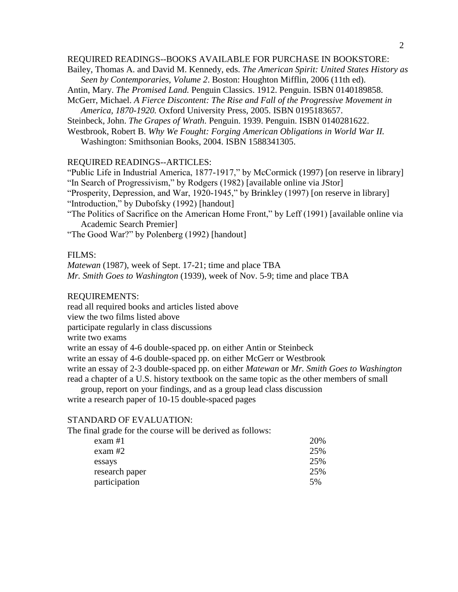#### REQUIRED READINGS--BOOKS AVAILABLE FOR PURCHASE IN BOOKSTORE:

Bailey, Thomas A. and David M. Kennedy, eds. *The American Spirit: United States History as Seen by Contemporaries, Volume 2*. Boston: Houghton Mifflin, 2006 (11th ed).

- Antin, Mary. *The Promised Land.* Penguin Classics. 1912. Penguin. ISBN 0140189858.
- McGerr, Michael. *A Fierce Discontent: The Rise and Fall of the Progressive Movement in America, 1870-1920.* Oxford University Press, 2005. ISBN 0195183657.

Steinbeck, John. *The Grapes of Wrath.* Penguin. 1939. Penguin. ISBN 0140281622.

Westbrook, Robert B. *Why We Fought: Forging American Obligations in World War II.* Washington: Smithsonian Books, 2004. ISBN 1588341305.

#### REQUIRED READINGS--ARTICLES:

"Public Life in Industrial America, 1877-1917," by McCormick (1997) [on reserve in library] "In Search of Progressivism," by Rodgers (1982) [available online via JStor]

"Prosperity, Depression, and War, 1920-1945," by Brinkley (1997) [on reserve in library] "Introduction," by Dubofsky (1992) [handout]

"The Politics of Sacrifice on the American Home Front," by Leff (1991) [available online via Academic Search Premier]

"The Good War?" by Polenberg (1992) [handout]

#### FILMS:

*Matewan* (1987), week of Sept. 17-21; time and place TBA *Mr. Smith Goes to Washington* (1939), week of Nov. 5-9; time and place TBA

#### REQUIREMENTS:

read all required books and articles listed above

view the two films listed above

participate regularly in class discussions

write two exams

write an essay of 4-6 double-spaced pp. on either Antin or Steinbeck

write an essay of 4-6 double-spaced pp. on either McGerr or Westbrook

write an essay of 2-3 double-spaced pp. on either *Matewan* or *Mr. Smith Goes to Washington* read a chapter of a U.S. history textbook on the same topic as the other members of small

group, report on your findings, and as a group lead class discussion

write a research paper of 10-15 double-spaced pages

#### STANDARD OF EVALUATION:

The final grade for the course will be derived as follows:

| exam #1        | 20% |
|----------------|-----|
| exam #2        | 25% |
| essays         | 25% |
| research paper | 25% |
| participation  | .5% |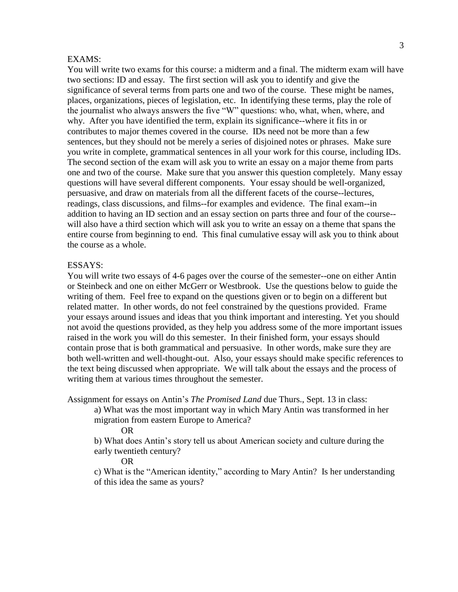#### EXAMS:

You will write two exams for this course: a midterm and a final. The midterm exam will have two sections: ID and essay. The first section will ask you to identify and give the significance of several terms from parts one and two of the course. These might be names, places, organizations, pieces of legislation, etc. In identifying these terms, play the role of the journalist who always answers the five "W" questions: who, what, when, where, and why. After you have identified the term, explain its significance--where it fits in or contributes to major themes covered in the course. IDs need not be more than a few sentences, but they should not be merely a series of disjoined notes or phrases. Make sure you write in complete, grammatical sentences in all your work for this course, including IDs. The second section of the exam will ask you to write an essay on a major theme from parts one and two of the course. Make sure that you answer this question completely. Many essay questions will have several different components. Your essay should be well-organized, persuasive, and draw on materials from all the different facets of the course--lectures, readings, class discussions, and films--for examples and evidence. The final exam--in addition to having an ID section and an essay section on parts three and four of the course- will also have a third section which will ask you to write an essay on a theme that spans the entire course from beginning to end. This final cumulative essay will ask you to think about the course as a whole.

#### ESSAYS:

You will write two essays of 4-6 pages over the course of the semester--one on either Antin or Steinbeck and one on either McGerr or Westbrook. Use the questions below to guide the writing of them. Feel free to expand on the questions given or to begin on a different but related matter. In other words, do not feel constrained by the questions provided. Frame your essays around issues and ideas that you think important and interesting. Yet you should not avoid the questions provided, as they help you address some of the more important issues raised in the work you will do this semester. In their finished form, your essays should contain prose that is both grammatical and persuasive. In other words, make sure they are both well-written and well-thought-out. Also, your essays should make specific references to the text being discussed when appropriate. We will talk about the essays and the process of writing them at various times throughout the semester.

Assignment for essays on Antin's *The Promised Land* due Thurs., Sept. 13 in class:

a) What was the most important way in which Mary Antin was transformed in her migration from eastern Europe to America?

OR

b) What does Antin's story tell us about American society and culture during the early twentieth century?

OR

c) What is the "American identity," according to Mary Antin? Is her understanding of this idea the same as yours?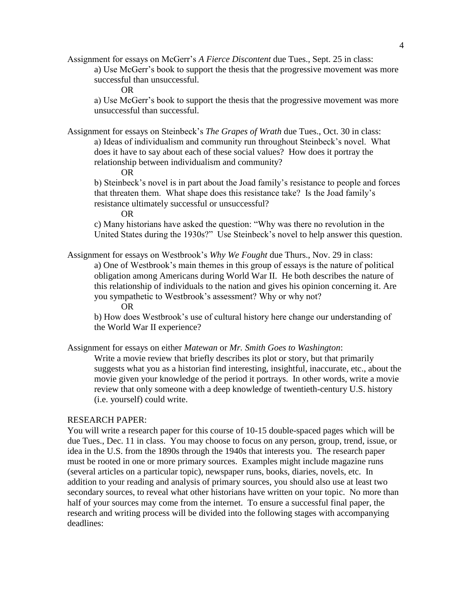Assignment for essays on McGerr's *A Fierce Discontent* due Tues., Sept. 25 in class: a) Use McGerr's book to support the thesis that the progressive movement was more successful than unsuccessful.

OR

a) Use McGerr's book to support the thesis that the progressive movement was more unsuccessful than successful.

Assignment for essays on Steinbeck's *The Grapes of Wrath* due Tues., Oct. 30 in class: a) Ideas of individualism and community run throughout Steinbeck's novel. What does it have to say about each of these social values? How does it portray the relationship between individualism and community?

OR

b) Steinbeck's novel is in part about the Joad family's resistance to people and forces that threaten them. What shape does this resistance take? Is the Joad family's resistance ultimately successful or unsuccessful?

OR

c) Many historians have asked the question: "Why was there no revolution in the United States during the 1930s?" Use Steinbeck's novel to help answer this question.

Assignment for essays on Westbrook's *Why We Fought* due Thurs., Nov. 29 in class:

a) One of Westbrook's main themes in this group of essays is the nature of political obligation among Americans during World War II. He both describes the nature of this relationship of individuals to the nation and gives his opinion concerning it. Are you sympathetic to Westbrook's assessment? Why or why not?

OR

b) How does Westbrook's use of cultural history here change our understanding of the World War II experience?

Assignment for essays on either *Matewan* or *Mr. Smith Goes to Washington*:

Write a movie review that briefly describes its plot or story, but that primarily suggests what you as a historian find interesting, insightful, inaccurate, etc., about the movie given your knowledge of the period it portrays. In other words, write a movie review that only someone with a deep knowledge of twentieth-century U.S. history (i.e. yourself) could write.

#### RESEARCH PAPER:

You will write a research paper for this course of 10-15 double-spaced pages which will be due Tues., Dec. 11 in class. You may choose to focus on any person, group, trend, issue, or idea in the U.S. from the 1890s through the 1940s that interests you. The research paper must be rooted in one or more primary sources. Examples might include magazine runs (several articles on a particular topic), newspaper runs, books, diaries, novels, etc. In addition to your reading and analysis of primary sources, you should also use at least two secondary sources, to reveal what other historians have written on your topic. No more than half of your sources may come from the internet. To ensure a successful final paper, the research and writing process will be divided into the following stages with accompanying deadlines: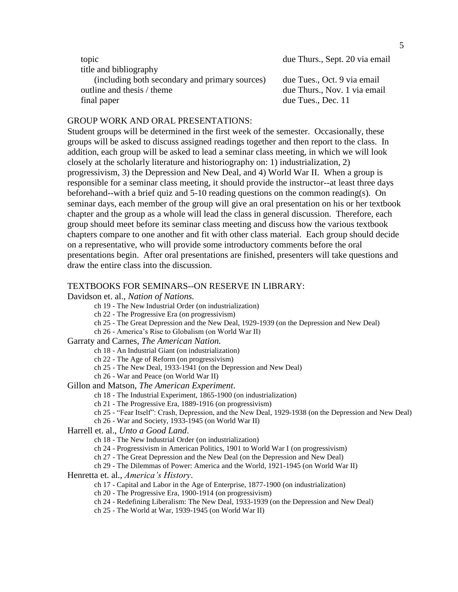| topic                                          | due Thurs., Sept. 20 via email |
|------------------------------------------------|--------------------------------|
| title and bibliography                         |                                |
| (including both secondary and primary sources) | due Tues., Oct. 9 via email    |
| outline and thesis / theme                     | due Thurs., Nov. 1 via email   |
| final paper                                    | due Tues., Dec. 11             |

#### GROUP WORK AND ORAL PRESENTATIONS:

Student groups will be determined in the first week of the semester. Occasionally, these groups will be asked to discuss assigned readings together and then report to the class. In addition, each group will be asked to lead a seminar class meeting, in which we will look closely at the scholarly literature and historiography on: 1) industrialization, 2) progressivism, 3) the Depression and New Deal, and 4) World War II. When a group is responsible for a seminar class meeting, it should provide the instructor--at least three days beforehand--with a brief quiz and 5-10 reading questions on the common reading(s). On seminar days, each member of the group will give an oral presentation on his or her textbook chapter and the group as a whole will lead the class in general discussion. Therefore, each group should meet before its seminar class meeting and discuss how the various textbook chapters compare to one another and fit with other class material. Each group should decide on a representative, who will provide some introductory comments before the oral presentations begin. After oral presentations are finished, presenters will take questions and draw the entire class into the discussion.

#### TEXTBOOKS FOR SEMINARS--ON RESERVE IN LIBRARY:

Davidson et. al., *Nation of Nations.*

- ch 19 The New Industrial Order (on industrialization)
- ch 22 The Progressive Era (on progressivism)
- ch 25 The Great Depression and the New Deal, 1929-1939 (on the Depression and New Deal)

ch 26 - America's Rise to Globalism (on World War II)

#### Garraty and Carnes, *The American Nation.*

ch 18 - An Industrial Giant (on industrialization)

- ch 22 The Age of Reform (on progressivism)
- ch 25 The New Deal, 1933-1941 (on the Depression and New Deal)
- ch 26 War and Peace (on World War II)

#### Gillon and Matson, *The American Experiment*.

- ch 18 The Industrial Experiment, 1865-1900 (on industrialization)
- ch 21 The Progressive Era, 1889-1916 (on progressivism)
- ch 25 "Fear Itself": Crash, Depression, and the New Deal, 1929-1938 (on the Depression and New Deal)
- ch 26 War and Society, 1933-1945 (on World War II)

Harrell et. al., *Unto a Good Land*.

- ch 18 The New Industrial Order (on industrialization)
- ch 24 Progressivism in American Politics, 1901 to World War I (on progressivism)
- ch 27 The Great Depression and the New Deal (on the Depression and New Deal)
- ch 29 The Dilemmas of Power: America and the World, 1921-1945 (on World War II)

#### Henretta et. al., *America's History*.

- ch 17 Capital and Labor in the Age of Enterprise, 1877-1900 (on industrialization)
- ch 20 The Progressive Era, 1900-1914 (on progressivism)
- ch 24 Redefining Liberalism: The New Deal, 1933-1939 (on the Depression and New Deal)
- ch 25 The World at War, 1939-1945 (on World War II)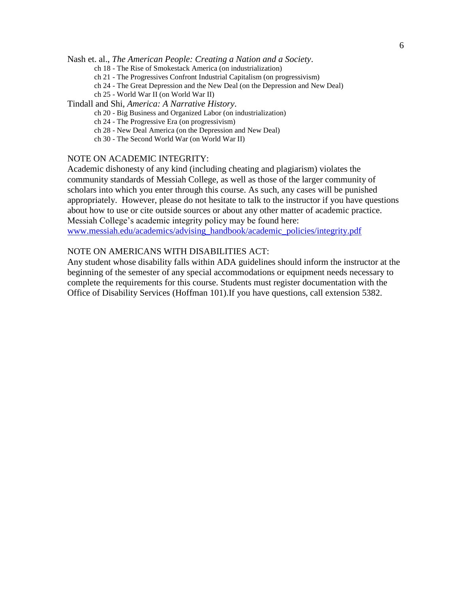Nash et. al., *The American People: Creating a Nation and a Society*.

- ch 18 The Rise of Smokestack America (on industrialization)
- ch 21 The Progressives Confront Industrial Capitalism (on progressivism)
- ch 24 The Great Depression and the New Deal (on the Depression and New Deal)
- ch 25 World War II (on World War II)

#### Tindall and Shi, *America: A Narrative History*.

- ch 20 Big Business and Organized Labor (on industrialization)
- ch 24 The Progressive Era (on progressivism)
- ch 28 New Deal America (on the Depression and New Deal)
- ch 30 The Second World War (on World War II)

#### NOTE ON ACADEMIC INTEGRITY:

Academic dishonesty of any kind (including cheating and plagiarism) violates the community standards of Messiah College, as well as those of the larger community of scholars into which you enter through this course. As such, any cases will be punished appropriately. However, please do not hesitate to talk to the instructor if you have questions about how to use or cite outside sources or about any other matter of academic practice. Messiah College's academic integrity policy may be found here: [www.messiah.edu/academics/advising\\_handbook/academic\\_policies/integrity.pdf](http://www.messiah.edu/academics/advising_handbook/academic_policies/integrity.pdf)

#### NOTE ON AMERICANS WITH DISABILITIES ACT:

Any student whose disability falls within ADA guidelines should inform the instructor at the beginning of the semester of any special accommodations or equipment needs necessary to complete the requirements for this course. Students must register documentation with the Office of Disability Services (Hoffman 101).If you have questions, call extension 5382.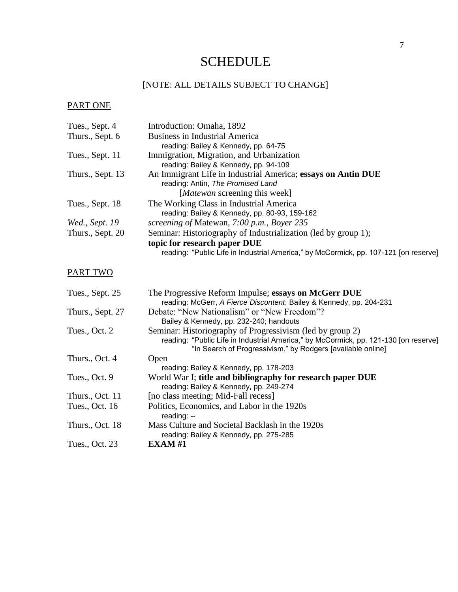# **SCHEDULE**

# [NOTE: ALL DETAILS SUBJECT TO CHANGE]

# PART ONE

| Tues., Sept. 4   | Introduction: Omaha, 1892                                                            |
|------------------|--------------------------------------------------------------------------------------|
| Thurs., Sept. 6  | <b>Business in Industrial America</b>                                                |
|                  | reading: Bailey & Kennedy, pp. 64-75                                                 |
| Tues., Sept. 11  | Immigration, Migration, and Urbanization                                             |
|                  | reading: Bailey & Kennedy, pp. 94-109                                                |
| Thurs., Sept. 13 | An Immigrant Life in Industrial America; essays on Antin DUE                         |
|                  | reading: Antin, The Promised Land                                                    |
|                  | [ <i>Matewan</i> screening this week]                                                |
| Tues., Sept. 18  | The Working Class in Industrial America                                              |
|                  | reading: Bailey & Kennedy, pp. 80-93, 159-162                                        |
| Wed., Sept. 19   | screening of Matewan, 7:00 p.m., Boyer 235                                           |
| Thurs., Sept. 20 | Seminar: Historiography of Industrialization (led by group 1);                       |
|                  | topic for research paper DUE                                                         |
|                  | reading: "Public Life in Industrial America," by McCormick, pp. 107-121 [on reserve] |

### PART TWO

| Tues., Sept. 25  | The Progressive Reform Impulse; essays on McGerr DUE                                                                                                |
|------------------|-----------------------------------------------------------------------------------------------------------------------------------------------------|
|                  | reading: McGerr, A Fierce Discontent; Bailey & Kennedy, pp. 204-231                                                                                 |
| Thurs., Sept. 27 | Debate: "New Nationalism" or "New Freedom"?                                                                                                         |
|                  | Bailey & Kennedy, pp. 232-240; handouts                                                                                                             |
| Tues., Oct. 2    | Seminar: Historiography of Progressivism (led by group 2)                                                                                           |
|                  | reading: "Public Life in Industrial America," by McCormick, pp. 121-130 [on reserve]<br>"In Search of Progressivism," by Rodgers [available online] |
| Thurs., Oct. 4   | Open                                                                                                                                                |
|                  | reading: Bailey & Kennedy, pp. 178-203                                                                                                              |
| Tues., Oct. 9    | World War I; title and bibliography for research paper DUE                                                                                          |
|                  | reading: Bailey & Kennedy, pp. 249-274                                                                                                              |
| Thurs., Oct. 11  | [no class meeting; Mid-Fall recess]                                                                                                                 |
| Tues., Oct. 16   | Politics, Economics, and Labor in the 1920s<br>reading: --                                                                                          |
| Thurs., Oct. 18  | Mass Culture and Societal Backlash in the 1920s<br>reading: Bailey & Kennedy, pp. 275-285                                                           |
| Tues., Oct. 23   | <b>EXAM#1</b>                                                                                                                                       |
|                  |                                                                                                                                                     |